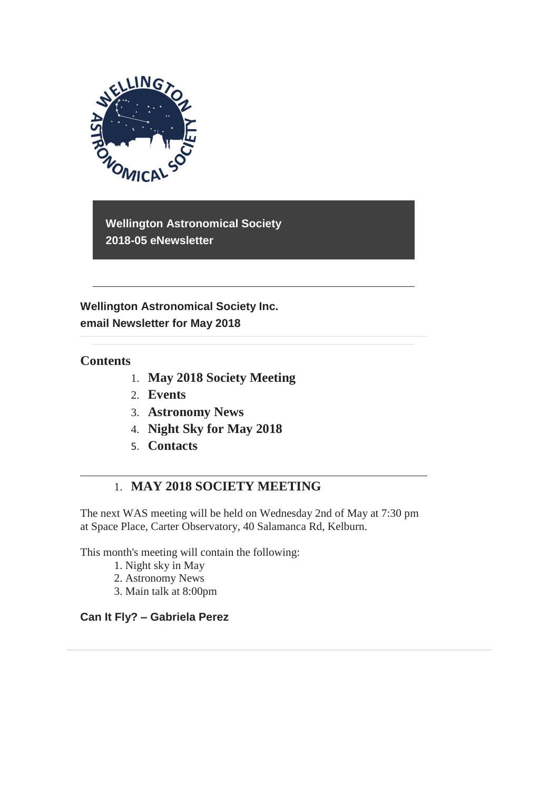

**Wellington Astronomical Society 2018-05 eNewsletter**

**Wellington Astronomical Society Inc. email Newsletter for May 2018** 

### **Contents**

- 1. **May 2018 Society Meeting**
- 2. **Events**
- 3. **Astronomy News**
- 4. **Night Sky for May 2018**
- 5. **Contacts**

## 1. **MAY 2018 SOCIETY MEETING**

The next WAS meeting will be held on Wednesday 2nd of May at 7:30 pm at Space Place, Carter Observatory, 40 Salamanca Rd, Kelburn.

This month's meeting will contain the following:

- 1. Night sky in May
- 2. Astronomy News
- 3. Main talk at 8:00pm

#### **Can It Fly? – Gabriela Perez**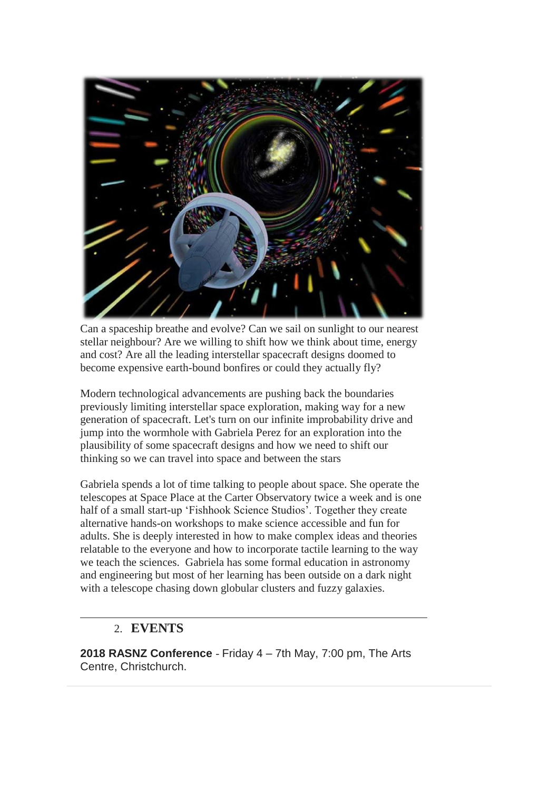

Can a spaceship breathe and evolve? Can we sail on sunlight to our nearest stellar neighbour? Are we willing to shift how we think about time, energy and cost? Are all the leading interstellar spacecraft designs doomed to become expensive earth-bound bonfires or could they actually fly?

Modern technological advancements are pushing back the boundaries previously limiting interstellar space exploration, making way for a new generation of spacecraft. Let's turn on our infinite improbability drive and jump into the wormhole with Gabriela Perez for an exploration into the plausibility of some spacecraft designs and how we need to shift our thinking so we can travel into space and between the stars

Gabriela spends a lot of time talking to people about space. She operate the telescopes at Space Place at the Carter Observatory twice a week and is one half of a small start-up 'Fishhook Science Studios'. Together they create alternative hands-on workshops to make science accessible and fun for adults. She is deeply interested in how to make complex ideas and theories relatable to the everyone and how to incorporate tactile learning to the way we teach the sciences. Gabriela has some formal education in astronomy and engineering but most of her learning has been outside on a dark night with a telescope chasing down globular clusters and fuzzy galaxies.

## 2. **EVENTS**

**2018 RASNZ Conference** - Friday 4 – 7th May, 7:00 pm, The Arts Centre, Christchurch.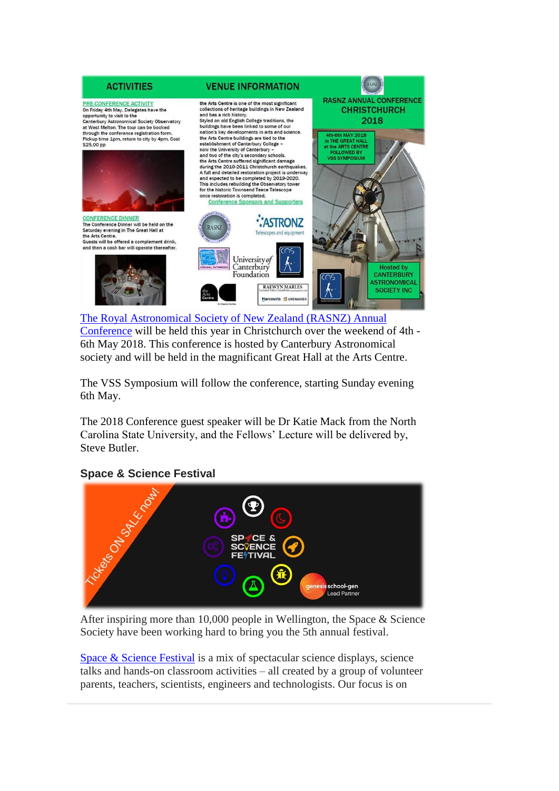

[The Royal Astronomical Society of New Zealand \(RASNZ\) Annual](http://rasnz.org.nz/groups-news-events/events/32-conference/444-conf-next)  [Conference](http://rasnz.org.nz/groups-news-events/events/32-conference/444-conf-next) will be held this year in Christchurch over the weekend of 4th - 6th May 2018. This conference is hosted by Canterbury Astronomical society and will be held in the magnificant Great Hall at the Arts Centre.

The VSS Symposium will follow the conference, starting Sunday evening 6th May.

The 2018 Conference guest speaker will be Dr Katie Mack from the North Carolina State University, and the Fellows' Lecture will be delivered by, Steve Butler.

#### **Space & Science Festival**



After inspiring more than 10,000 people in Wellington, the Space & Science Society have been working hard to bring you the 5th annual festival.

[Space & Science Festival](https://spacesciencefestival.org/) is a mix of spectacular science displays, science talks and hands-on classroom activities – all created by a group of volunteer parents, teachers, scientists, engineers and technologists. Our focus is on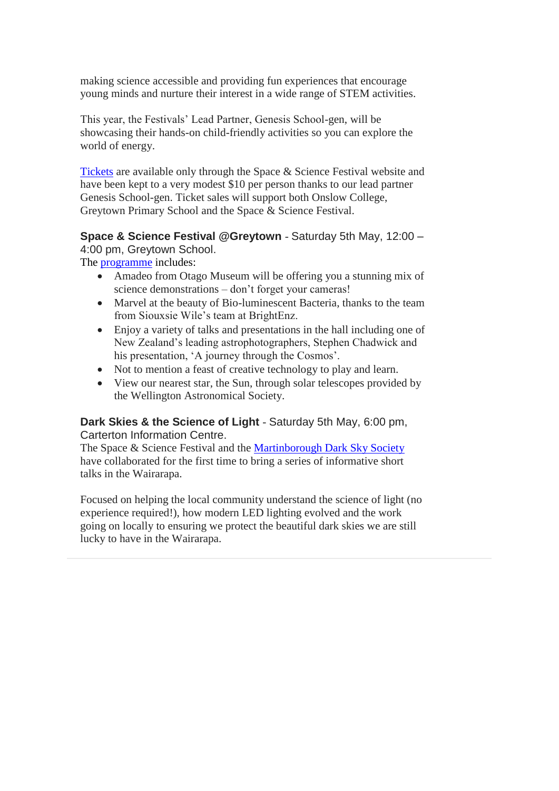making science accessible and providing fun experiences that encourage young minds and nurture their interest in a wide range of STEM activities.

This year, the Festivals' Lead Partner, Genesis School-gen, will be showcasing their hands-on child-friendly activities so you can explore the world of energy.

[Tickets](https://spacesciencefestival.org/index.php/shop/) are available only through the Space & Science Festival website and have been kept to a very modest \$10 per person thanks to our lead partner Genesis School-gen. Ticket sales will support both Onslow College, Greytown Primary School and the Space & Science Festival.

**Space & Science Festival @Greytown** - Saturday 5th May, 12:00 – 4:00 pm, Greytown School.

The [programme](https://spacesciencefestival.org/index.php/programme-at-greytown-school/) includes:

- Amadeo from Otago Museum will be offering you a stunning mix of science demonstrations – don't forget your cameras!
- Marvel at the beauty of Bio-luminescent Bacteria, thanks to the team from Siouxsie Wile's team at BrightEnz.
- Enjoy a variety of talks and presentations in the hall including one of New Zealand's leading astrophotographers, Stephen Chadwick and his presentation, 'A journey through the Cosmos'.
- Not to mention a feast of creative technology to play and learn.
- View our nearest star, the Sun, through solar telescopes provided by the Wellington Astronomical Society.

**Dark Skies & the Science of Light** - Saturday 5th May, 6:00 pm, Carterton Information Centre.

The Space & Science Festival and the [Martinborough Dark Sky Society](https://martinboroughdarksky.org/) have collaborated for the first time to bring a series of informative short talks in the Wairarapa.

Focused on helping the local community understand the science of light (no experience required!), how modern LED lighting evolved and the work going on locally to ensuring we protect the beautiful dark skies we are still lucky to have in the Wairarapa.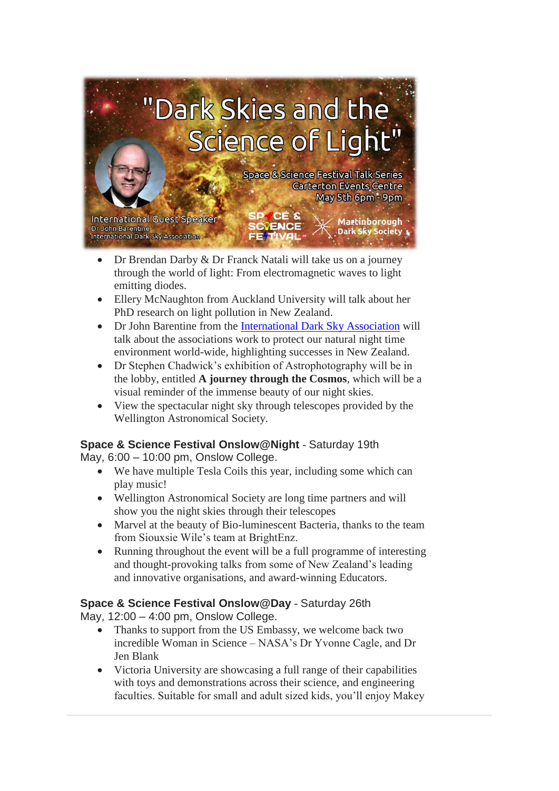

- Dr Brendan Darby & Dr Franck Natali will take us on a journey through the world of light: From electromagnetic waves to light emitting diodes.
- Ellery McNaughton from Auckland University will talk about her PhD research on light pollution in New Zealand.
- Dr John Barentine from the [International Dark Sky Association](http://www.darksky.org/) will talk about the associations work to protect our natural night time environment world-wide, highlighting successes in New Zealand.
- Dr Stephen Chadwick's exhibition of Astrophotography will be in the lobby, entitled **A journey through the Cosmos**, which will be a visual reminder of the immense beauty of our night skies.
- View the spectacular night sky through telescopes provided by the Wellington Astronomical Society.

### **Space & Science Festival Onslow@Night** - Saturday 19th

May, 6:00 – 10:00 pm, Onslow College.

- We have multiple Tesla Coils this year, including some which can play music!
- Wellington Astronomical Society are long time partners and will show you the night skies through their telescopes
- Marvel at the beauty of Bio-luminescent Bacteria, thanks to the team from Siouxsie Wile's team at BrightEnz.
- Running throughout the event will be a full programme of interesting and thought-provoking talks from some of New Zealand's leading and innovative organisations, and award-winning Educators.

### **Space & Science Festival Onslow@Day** - Saturday 26th

May, 12:00 – 4:00 pm, Onslow College.

- Thanks to support from the US Embassy, we welcome back two incredible Woman in Science – NASA's Dr Yvonne Cagle, and Dr Jen Blank
- Victoria University are showcasing a full range of their capabilities with toys and demonstrations across their science, and engineering faculties. Suitable for small and adult sized kids, you'll enjoy Makey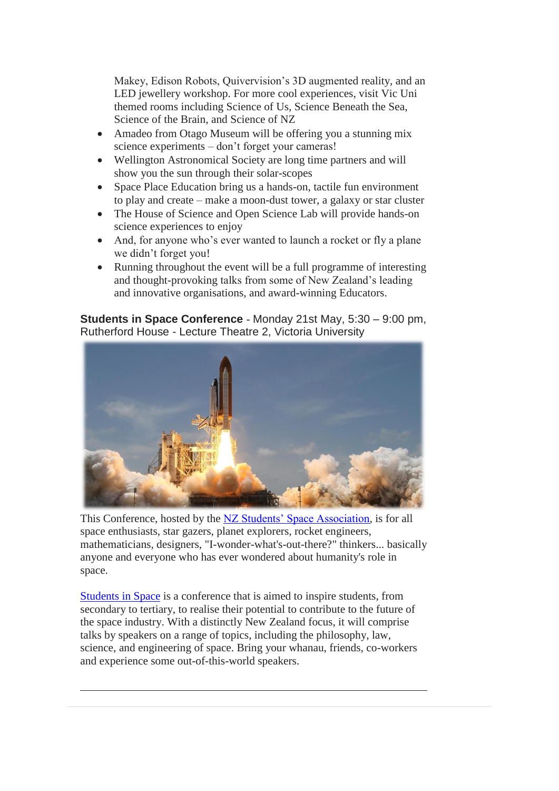Makey, Edison Robots, Quivervision's 3D augmented reality, and an LED jewellery workshop. For more cool experiences, visit Vic Uni themed rooms including Science of Us, Science Beneath the Sea, Science of the Brain, and Science of NZ

- Amadeo from Otago Museum will be offering you a stunning mix science experiments – don't forget your cameras!
- Wellington Astronomical Society are long time partners and will show you the sun through their solar-scopes
- Space Place Education bring us a hands-on, tactile fun environment to play and create – make a moon-dust tower, a galaxy or star cluster
- The House of Science and Open Science Lab will provide hands-on science experiences to enjoy
- And, for anyone who's ever wanted to launch a rocket or fly a plane we didn't forget you!
- Running throughout the event will be a full programme of interesting and thought-provoking talks from some of New Zealand's leading and innovative organisations, and award-winning Educators.

**Students in Space Conference** - Monday 21st May, 5:30 – 9:00 pm, Rutherford House - Lecture Theatre 2, Victoria University



This Conference, hosted by the [NZ Students' Space Association,](https://www.facebook.com/studentsInSpace/) is for all space enthusiasts, star gazers, planet explorers, rocket engineers, mathematicians, designers, "I-wonder-what's-out-there?" thinkers... basically anyone and everyone who has ever wondered about humanity's role in space.

[Students in Space](https://www.facebook.com/events/356046151550446/) is a conference that is aimed to inspire students, from secondary to tertiary, to realise their potential to contribute to the future of the space industry. With a distinctly New Zealand focus, it will comprise talks by speakers on a range of topics, including the philosophy, law, science, and engineering of space. Bring your whanau, friends, co-workers and experience some out-of-this-world speakers.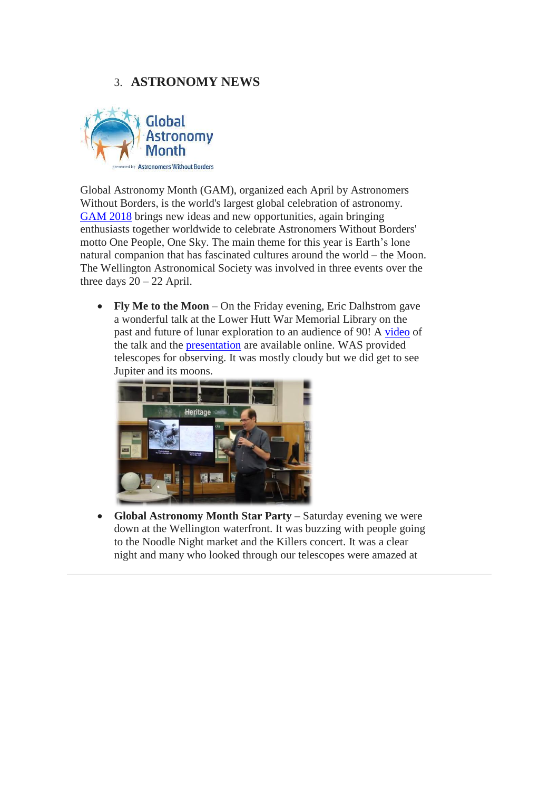# 3. **ASTRONOMY NEWS**



Global Astronomy Month (GAM), organized each April by Astronomers Without Borders, is the world's largest global celebration of astronomy. [GAM 2018](https://astronomerswithoutborders.org/global-astronomy-month-2018.html) brings new ideas and new opportunities, again bringing enthusiasts together worldwide to celebrate Astronomers Without Borders' motto One People, One Sky. The main theme for this year is Earth's lone natural companion that has fascinated cultures around the world – the Moon. The Wellington Astronomical Society was involved in three events over the three days  $20 - 22$  April.

• **Fly Me to the Moon** – On the Friday evening, Eric Dalhstrom gave a wonderful talk at the Lower Hutt War Memorial Library on the past and future of lunar exploration to an audience of 90! A [video](http://bit.ly/NZMoon2) of the talk and the [presentation](http://bit.ly/NZMoon1) are available online. WAS provided telescopes for observing. It was mostly cloudy but we did get to see Jupiter and its moons.



• **Global Astronomy Month Star Party –** Saturday evening we were down at the Wellington waterfront. It was buzzing with people going to the Noodle Night market and the Killers concert. It was a clear night and many who looked through our telescopes were amazed at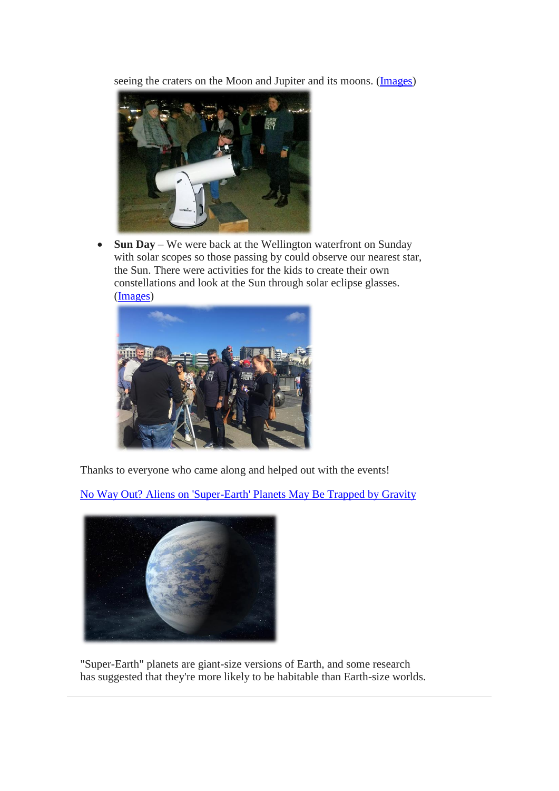seeing the craters on the Moon and Jupiter and its moons. [\(Images\)](https://m.facebook.com/story.php?story_fbid=2088474948069567&id=1687754938141572)



• **Sun Day** – We were back at the Wellington waterfront on Sunday with solar scopes so those passing by could observe our nearest star, the Sun. There were activities for the kids to create their own constellations and look at the Sun through solar eclipse glasses. [\(Images\)](https://m.facebook.com/story.php?story_fbid=2088457434737985&id=1687754938141572)



Thanks to everyone who came along and helped out with the events!

[No Way Out? Aliens on 'Super-Earth' Planets May Be Trapped by Gravity](https://www.space.com/40375-super-earth-exoplanets-hard-aliens-launch.html)



"Super-Earth" planets are giant-size versions of Earth, and some research has suggested that they're more likely to be habitable than Earth-size worlds.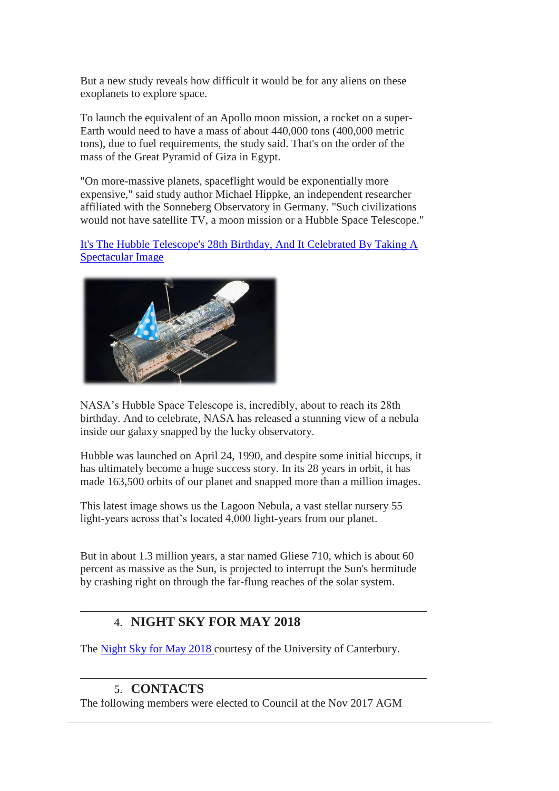But a new study reveals how difficult it would be for any aliens on these exoplanets to explore space.

To launch the equivalent of an Apollo moon mission, a rocket on a super-Earth would need to have a mass of about 440,000 tons (400,000 metric tons), due to fuel requirements, the study said. That's on the order of the mass of the Great Pyramid of Giza in Egypt.

"On more-massive planets, spaceflight would be exponentially more expensive," said study author Michael Hippke, an independent researcher affiliated with the Sonneberg Observatory in Germany. "Such civilizations would not have satellite TV, a moon mission or a Hubble Space Telescope."

[It's The Hubble Telescope's 28th Birthday, And It Celebrated By Taking A](http://www.iflscience.com/space/hubble-took-an-amazing-picture-to-celebrate-its-28th-birthday/) [Spectacular Image](http://www.iflscience.com/space/hubble-took-an-amazing-picture-to-celebrate-its-28th-birthday/)



NASA's Hubble Space Telescope is, incredibly, about to reach its 28th birthday. And to celebrate, NASA has released a stunning view of a nebula inside our galaxy snapped by the lucky observatory.

Hubble was launched on April 24, 1990, and despite some initial hiccups, it has ultimately become a huge success story. In its 28 years in orbit, it has made 163,500 orbits of our planet and snapped more than a million images.

This latest image shows us the Lagoon Nebula, a vast stellar nursery 55 light-years across that's located 4,000 light-years from our planet.

But in about 1.3 million years, a star named Gliese 710, which is about 60 percent as massive as the Sun, is projected to interrupt the Sun's hermitude by crashing right on through the far-flung reaches of the solar system.

## 4. **NIGHT SKY FOR MAY 2018**

The [Night Sky for May](https://drive.google.com/open?id=1CQAamn4H9XH2i64MYjpDHoNjaFtB8tpb) 2018 courtesy of the University of Canterbury.

### 5. **CONTACTS**

The following members were elected to Council at the Nov 2017 AGM